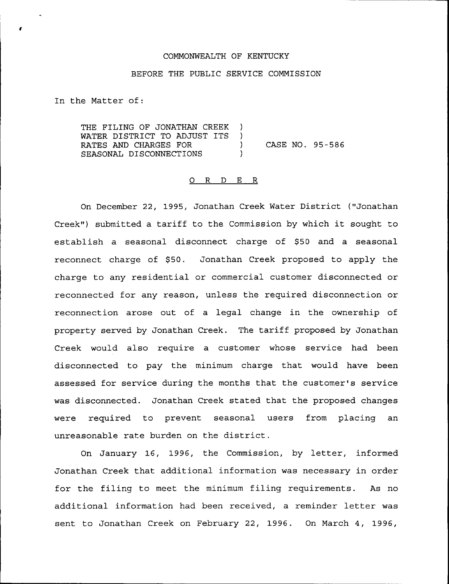### COMMONWEALTH OF KENTUCKY

### BEFORE THE PUBLIC SERVICE COMMISSION

In the Matter of:

THE FILING OF JONATHAN CREEK )<br>WATER DISTRICT TO ADJUST ITS ) WATER DISTRICT TO ADJUST ITS )<br>RATES AND CHARGES FOR RATES AND CHARGES FOR (2008) CASE NO. 95-586 SEASONAL DISCONNECTIONS )

# 0 <sup>R</sup> <sup>D</sup> E R

On December 22, 1995, Jonathan Creek Water District ("Jonathan Creek") submitted a tariff to the Commission by which it sought to establish a seasonal disconnect charge of \$50 and a seasonal reconnect charge of \$50. Jonathan Creek proposed to apply the charge to any residential or commercial customer disconnected or reconnected for any reason, unless the required disconnection or reconnection arose out of a legal change in the ownership of Property served by Jonathan Creek. The tariff proposed by Jonathan Creek would also require a customer whose service had been disconnected to pay the minimum charge that would have been assessed for service during the months that the customer's service was disconnected. Jonathan Creek stated that the proposed changes were required to prevent seasonal users from placing an unreasonable rate burden on the district.

On January 16, 1996, the Commission, by letter, informed Jonathan Creek that additional information was necessary in order for the filing to meet the minimum filing requirements. As no additional information had been received, a reminder letter was sent to Jonathan Creek on February 22, 1996. On March 4, 1996,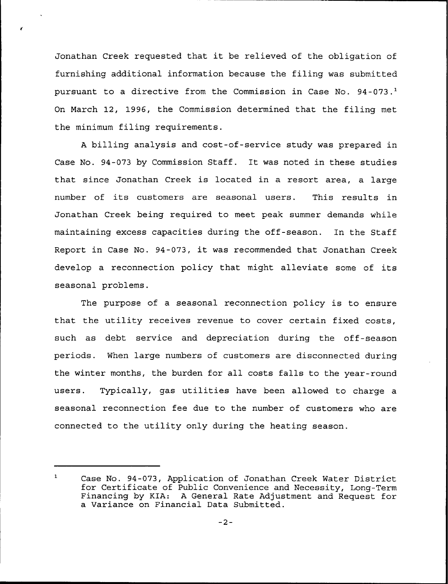Jonathan Creek requested that it be relieved of the obligation of furnishing additional information because the filing was submitted pursuant to a directive from the Commission in Case No.  $94-073$ .<sup>1</sup> On March 12, 1996, the Commission determined that the filing met the minimum filing requirements.

<sup>A</sup> billing analysis and cost-of-service study was prepared in Case No. 94-073 by Commission Staff. It was noted in these studies that since Jonathan Creek is located in a resort area, a large number of its customers are seasonal users. This results in Jonathan Creek being required to meet peak summer demands while maintaining excess capacities during the off-season. In the Staff Report in Case No. 94-073, it was recommended that Jonathan Creek develop a reconnection policy that might alleviate some of its seasonal problems.

The purpose of a seasonal reconnection policy is to ensure that the utility receives revenue to cover certain fixed costs, such as debt service and depreciation during the off-season periods. When large numbers of customers are disconnected during the winter months, the burden for all costs falls to the year-round users. Typically, gas utilities have been allowed to charge a seasonal reconnection fee due to the number of customers who are connected to the utility only during the heating season.

 $\mathbf{1}$ Case No. 94-073, Application of Jonathan Creek Water District for Certificate of Public Convenience and Necessity, Long-Term Financing by KIA: <sup>A</sup> General Rate Adjustment and Request for a Variance on Financial Data Submitted.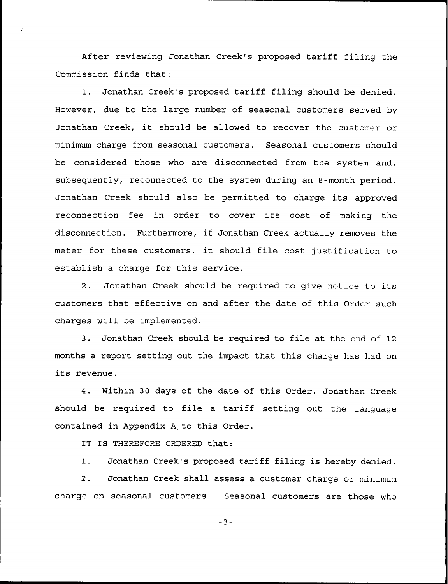After reviewing Jonathan Creek's proposed tariff filing the Commission finds that:

1. Jonathan Creek's proposed tariff filing should be denied. However, due to the large number of seasonal customers served by Jonathan Creek, it should be allowed to recover the customer or minimum charge from seasonal customers. Seasonal customers should be considered those who are disconnected from the system and, subsequently, reconnected to the system during an 8-month period. Jonathan Creek should also be permitted to charge its approved reconnection fee in order to cover its cost of making the disconnection. Furthermore, if Jonathan Creek actually removes the meter for these customers, it should file cost justification to establish a charge for this service.

2. Jonathan Creek should be required to give notice to its customers that effective on and after the date of this Order such charges will be implemented.

3. Jonathan Creek should be required to file at the end of 12 months a report setting out the impact that this charge has had on its revenue.

4. Within 30 days of the date of this Order, Jonathan Creek should be required to file <sup>a</sup> tariff setting out the language contained in Appendix <sup>A</sup> to this Order.

IT IS THEREFORE ORDERED that:

1. Jonathan Creek's proposed tariff filing is hereby denied.

2. Jonathan Creek shall assess a customer charge or minimum charge on seasonal customers. Seasonal customers are those who

 $-3-$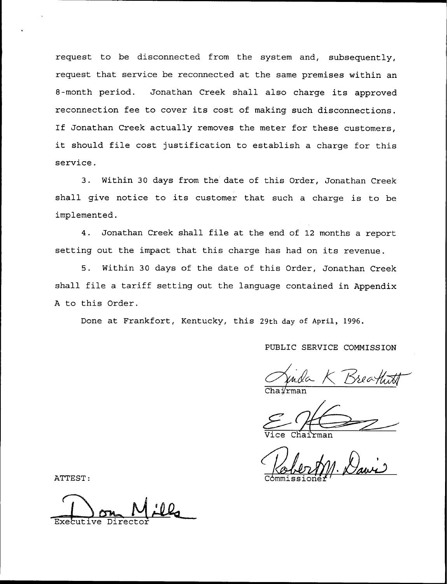request to be disconnected from the system and, subsequently, request that service be reconnected at the same premises within an 8-month period. Jonathan Creek shall also charge its approved reconnection fee to cover its cost of making such disconnections. If Jonathan Creek actually removes the meter for these customers, it should file cost justification to establish <sup>a</sup> charge for this service.

3. Within 30 days from the date of this Order, Jonathan Creek shall give notice to its customer that such a charge is to be implemented.

4. Jonathan Creek shall file at the end of <sup>12</sup> months a report setting out the impact that this charge has had on its revenue.

5. Within 30 days of the date of this Order, Jonathan Creek shall file a tariff setting out the language contained in Appendix <sup>A</sup> to this Order.

Done at Frankfort, Kentucky, this 29th day of April, 1996.

PUBLIC SERVICE COMMISSION

Chai⁄rma

Vice Chairma

ATTEST:  $\frac{1}{\text{Commissioner}}$ 

Director and Director